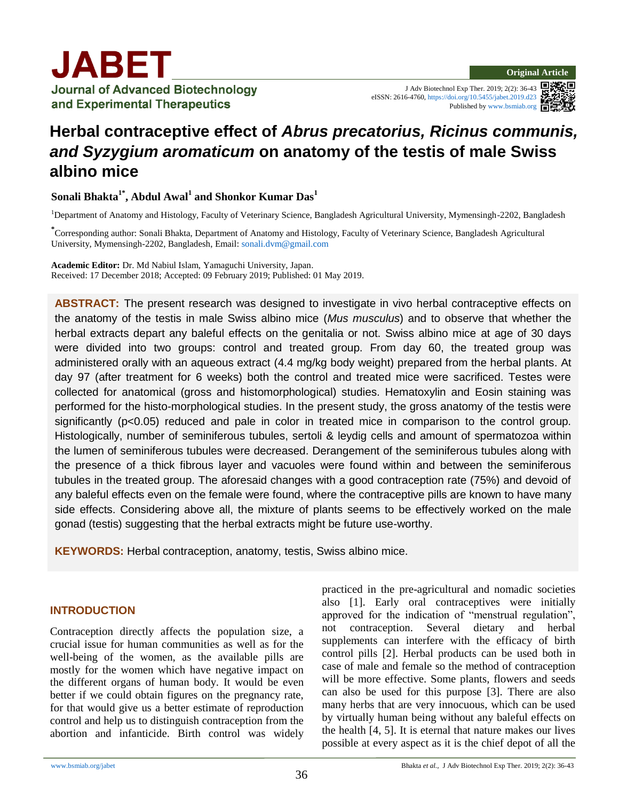J Adv Biotechnol Exp Ther. 2019; 2(2): 36-43 eISSN: 2616-4760, <https://doi.org/10.5455/jabet.2019.d23> Published b[y www.bsmiab.org](http://www.bsmiab.org/)

# **Herbal contraceptive effect of** *Abrus precatorius, Ricinus communis, and Syzygium aromaticum* **on anatomy of the testis of male Swiss albino mice**

**Sonali Bhakta1\* , Abdul Awal<sup>1</sup> and Shonkor Kumar Das<sup>1</sup>**

<sup>1</sup>Department of Anatomy and Histology, Faculty of Veterinary Science, Bangladesh Agricultural University, Mymensingh-2202, Bangladesh

**\*** Corresponding author: Sonali Bhakta, Department of Anatomy and Histology, Faculty of Veterinary Science, Bangladesh Agricultural University, Mymensingh-2202, Bangladesh, Email: [sonali.dvm@gmail.com](mailto:sonali.dvm@gmail.com)

**Academic Editor:** Dr. Md Nabiul Islam, Yamaguchi University, Japan. Received: 17 December 2018; Accepted: 09 February 2019; Published: 01 May 2019.

**ABSTRACT:** The present research was designed to investigate in vivo herbal contraceptive effects on the anatomy of the testis in male Swiss albino mice (*Mus musculus*) and to observe that whether the herbal extracts depart any baleful effects on the genitalia or not. Swiss albino mice at age of 30 days were divided into two groups: control and treated group. From day 60, the treated group was administered orally with an aqueous extract (4.4 mg/kg body weight) prepared from the herbal plants. At day 97 (after treatment for 6 weeks) both the control and treated mice were sacrificed. Testes were collected for anatomical (gross and histomorphological) studies. Hematoxylin and Eosin staining was performed for the histo-morphological studies. In the present study, the gross anatomy of the testis were significantly (p<0.05) reduced and pale in color in treated mice in comparison to the control group. Histologically, number of seminiferous tubules, sertoli & leydig cells and amount of spermatozoa within the lumen of seminiferous tubules were decreased. Derangement of the seminiferous tubules along with the presence of a thick fibrous layer and vacuoles were found within and between the seminiferous tubules in the treated group. The aforesaid changes with a good contraception rate (75%) and devoid of any baleful effects even on the female were found, where the contraceptive pills are known to have many side effects. Considering above all, the mixture of plants seems to be effectively worked on the male gonad (testis) suggesting that the herbal extracts might be future use-worthy.

**KEYWORDS:** Herbal contraception, anatomy, testis, Swiss albino mice.

## **INTRODUCTION**

Contraception directly affects the population size, a crucial issue for human communities as well as for the well-being of the women, as the available pills are mostly for the women which have negative impact on the different organs of human body. It would be even better if we could obtain figures on the pregnancy rate, for that would give us a better estimate of reproduction control and help us to distinguish contraception from the abortion and infanticide. Birth control was widely practiced in the pre-agricultural and nomadic societies also [1]. Early oral contraceptives were initially approved for the indication of "menstrual regulation", not contraception. Several dietary and herbal supplements can interfere with the efficacy of birth control pills [2]. Herbal products can be used both in case of male and female so the method of contraception will be more effective. Some plants, flowers and seeds can also be used for this purpose [3]. There are also many herbs that are very innocuous, which can be used by virtually human being without any baleful effects on the health [4, 5]. It is eternal that nature makes our lives possible at every aspect as it is the chief depot of all the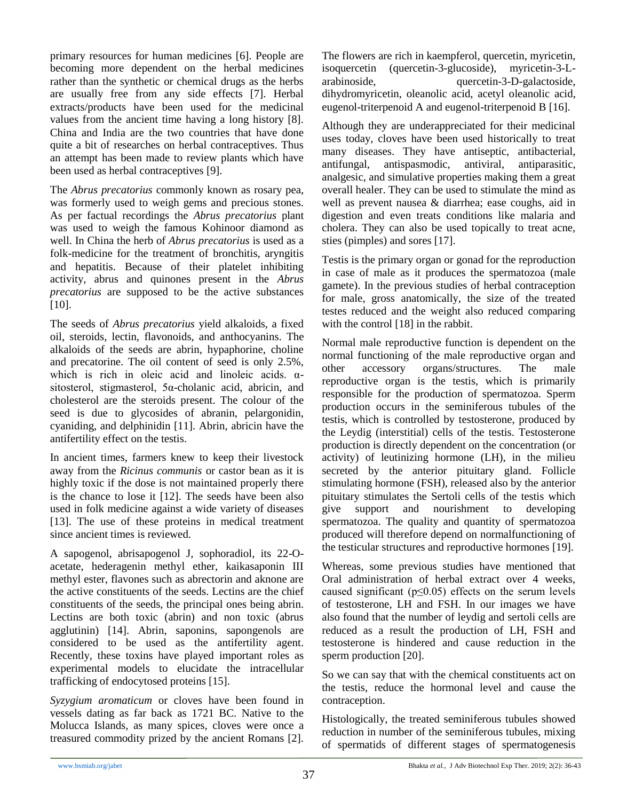primary resources for human medicines [6]. People are becoming more dependent on the herbal medicines rather than the synthetic or chemical drugs as the herbs are usually free from any side effects [7]. Herbal extracts/products have been used for the medicinal values from the ancient time having a long history [8]. China and India are the two countries that have done quite a bit of researches on herbal contraceptives. Thus an attempt has been made to review plants which have been used as herbal contraceptives [9].

The *Abrus precatorius* commonly known as rosary pea, was formerly used to weigh gems and precious stones. As per factual recordings the *Abrus precatorius* plant was used to weigh the famous Kohinoor diamond as well. In China the herb of *Abrus precatorius* is used as a folk-medicine for the treatment of bronchitis, aryngitis and hepatitis. Because of their platelet inhibiting activity, abrus and quinones present in the *Abrus precatorius* are supposed to be the active substances [10].

The seeds of *Abrus precatorius* yield alkaloids, a fixed oil, steroids, lectin, flavonoids, and anthocyanins. The alkaloids of the seeds are abrin, hypaphorine, choline and precatorine. The oil content of seed is only 2.5%, which is rich in oleic acid and linoleic acids.  $\alpha$ sitosterol, stigmasterol, 5α-cholanic acid, abricin, and cholesterol are the steroids present. The colour of the seed is due to glycosides of abranin, pelargonidin, cyaniding, and delphinidin [11]. Abrin, abricin have the antifertility effect on the testis.

In ancient times, farmers knew to keep their livestock away from the *Ricinus communis* or castor bean as it is highly toxic if the dose is not maintained properly there is the chance to lose it [12]. The seeds have been also used in folk medicine against a wide variety of diseases [13]. The use of these proteins in medical treatment since ancient times is reviewed.

A sapogenol, abrisapogenol J, sophoradiol, its 22-Oacetate, hederagenin methyl ether, kaikasaponin III methyl ester, flavones such as abrectorin and aknone are the active constituents of the seeds. Lectins are the chief constituents of the seeds, the principal ones being abrin. Lectins are both toxic (abrin) and non toxic (abrus agglutinin) [14]. Abrin, saponins, sapongenols are considered to be used as the antifertility agent. Recently, these toxins have played important roles as experimental models to elucidate the intracellular trafficking of endocytosed proteins [15].

*Syzygium aromaticum* or cloves have been found in vessels dating as far back as 1721 BC. Native to the Molucca Islands, as many spices, cloves were once a treasured commodity prized by the ancient Romans [2]. The flowers are rich in kaempferol, quercetin, myricetin, isoquercetin (quercetin-3-glucoside), myricetin-3-Larabinoside, quercetin-3-D-galactoside, dihydromyricetin, oleanolic acid, acetyl oleanolic acid, eugenol-triterpenoid A and eugenol-triterpenoid B [16].

Although they are underappreciated for their medicinal uses today, cloves have been used historically to treat many diseases. They have antiseptic, antibacterial, antifungal, antispasmodic, antiviral, antiparasitic, analgesic, and simulative properties making them a great overall healer. They can be used to stimulate the mind as well as prevent nausea & diarrhea; ease coughs, aid in digestion and even treats conditions like malaria and cholera. They can also be used topically to treat acne, sties (pimples) and sores [17].

Testis is the primary organ or gonad for the reproduction in case of male as it produces the spermatozoa (male gamete). In the previous studies of herbal contraception for male, gross anatomically, the size of the treated testes reduced and the weight also reduced comparing with the control [18] in the rabbit.

Normal male reproductive function is dependent on the normal functioning of the male reproductive organ and other accessory organs/structures. The male reproductive organ is the testis, which is primarily responsible for the production of spermatozoa. Sperm production occurs in the seminiferous tubules of the testis, which is controlled by testosterone, produced by the Leydig (interstitial) cells of the testis. Testosterone production is directly dependent on the concentration (or activity) of leutinizing hormone (LH), in the milieu secreted by the anterior pituitary gland. Follicle stimulating hormone (FSH), released also by the anterior pituitary stimulates the Sertoli cells of the testis which give support and nourishment to developing spermatozoa. The quality and quantity of spermatozoa produced will therefore depend on normalfunctioning of the testicular structures and reproductive hormones [19].

Whereas, some previous studies have mentioned that Oral administration of herbal extract over 4 weeks, caused significant ( $p \le 0.05$ ) effects on the serum levels of testosterone, LH and FSH. In our images we have also found that the number of leydig and sertoli cells are reduced as a result the production of LH, FSH and testosterone is hindered and cause reduction in the sperm production [20].

So we can say that with the chemical constituents act on the testis, reduce the hormonal level and cause the contraception.

Histologically, the treated seminiferous tubules showed reduction in number of the seminiferous tubules, mixing of spermatids of different stages of spermatogenesis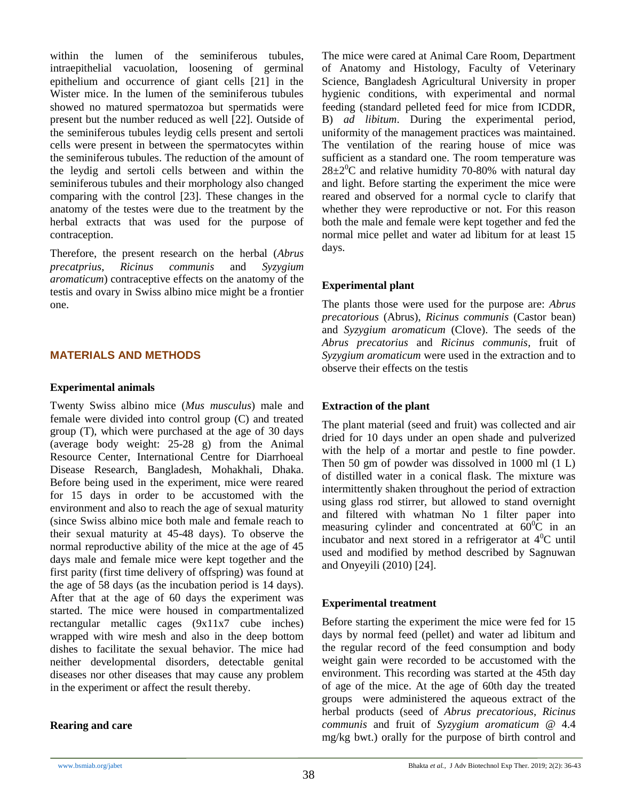within the lumen of the seminiferous tubules, intraepithelial vacuolation, loosening of germinal epithelium and occurrence of giant cells [21] in the Wister mice. In the lumen of the seminiferous tubules showed no matured spermatozoa but spermatids were present but the number reduced as well [22]. Outside of the seminiferous tubules leydig cells present and sertoli cells were present in between the spermatocytes within the seminiferous tubules. The reduction of the amount of the leydig and sertoli cells between and within the seminiferous tubules and their morphology also changed comparing with the control [23]. These changes in the anatomy of the testes were due to the treatment by the herbal extracts that was used for the purpose of contraception.

Therefore, the present research on the herbal (*Abrus precatprius*, *Ricinus communis* and *Syzygium aromaticum*) contraceptive effects on the anatomy of the testis and ovary in Swiss albino mice might be a frontier one.

## **MATERIALS AND METHODS**

#### **Experimental animals**

Twenty Swiss albino mice (*Mus musculus*) male and female were divided into control group (C) and treated group (T), which were purchased at the age of 30 days (average body weight: 25-28 g) from the Animal Resource Center, International Centre for Diarrhoeal Disease Research, Bangladesh, Mohakhali, Dhaka. Before being used in the experiment, mice were reared for 15 days in order to be accustomed with the environment and also to reach the age of sexual maturity (since Swiss albino mice both male and female reach to their sexual maturity at 45-48 days). To observe the normal reproductive ability of the mice at the age of 45 days male and female mice were kept together and the first parity (first time delivery of offspring) was found at the age of 58 days (as the incubation period is 14 days). After that at the age of 60 days the experiment was started. The mice were housed in compartmentalized rectangular metallic cages (9x11x7 cube inches) wrapped with wire mesh and also in the deep bottom dishes to facilitate the sexual behavior. The mice had neither developmental disorders, detectable genital diseases nor other diseases that may cause any problem in the experiment or affect the result thereby.

## **Rearing and care**

The mice were cared at Animal Care Room, Department of Anatomy and Histology, Faculty of Veterinary Science, Bangladesh Agricultural University in proper hygienic conditions, with experimental and normal feeding (standard pelleted feed for mice from ICDDR, B) *ad libitum*. During the experimental period, uniformity of the management practices was maintained. The ventilation of the rearing house of mice was sufficient as a standard one. The room temperature was  $28\pm2\degree$ C and relative humidity 70-80% with natural day and light. Before starting the experiment the mice were reared and observed for a normal cycle to clarify that whether they were reproductive or not. For this reason both the male and female were kept together and fed the normal mice pellet and water ad libitum for at least 15 days.

## **Experimental plant**

The plants those were used for the purpose are: *Abrus precatorious* (Abrus), *Ricinus communis* (Castor bean) and *Syzygium aromaticum* (Clove). The seeds of the *Abrus precatorius* and *Ricinus communis*, fruit of *Syzygium aromaticum* were used in the extraction and to observe their effects on the testis

## **Extraction of the plant**

The plant material (seed and fruit) was collected and air dried for 10 days under an open shade and pulverized with the help of a mortar and pestle to fine powder. Then 50 gm of powder was dissolved in 1000 ml (1 L) of distilled water in a conical flask. The mixture was intermittently shaken throughout the period of extraction using glass rod stirrer, but allowed to stand overnight and filtered with whatman No 1 filter paper into measuring cylinder and concentrated at  $60^{\circ}$ C in an incubator and next stored in a refrigerator at  $4^{\circ}$ C until used and modified by method described by Sagnuwan and Onyeyili (2010) [24].

## **Experimental treatment**

Before starting the experiment the mice were fed for 15 days by normal feed (pellet) and water ad libitum and the regular record of the feed consumption and body weight gain were recorded to be accustomed with the environment. This recording was started at the 45th day of age of the mice. At the age of 60th day the treated groups were administered the aqueous extract of the herbal products (seed of *Abrus precatorious*, *Ricinus communis* and fruit of *Syzygium aromaticum* @ 4.4 mg/kg bwt.) orally for the purpose of birth control and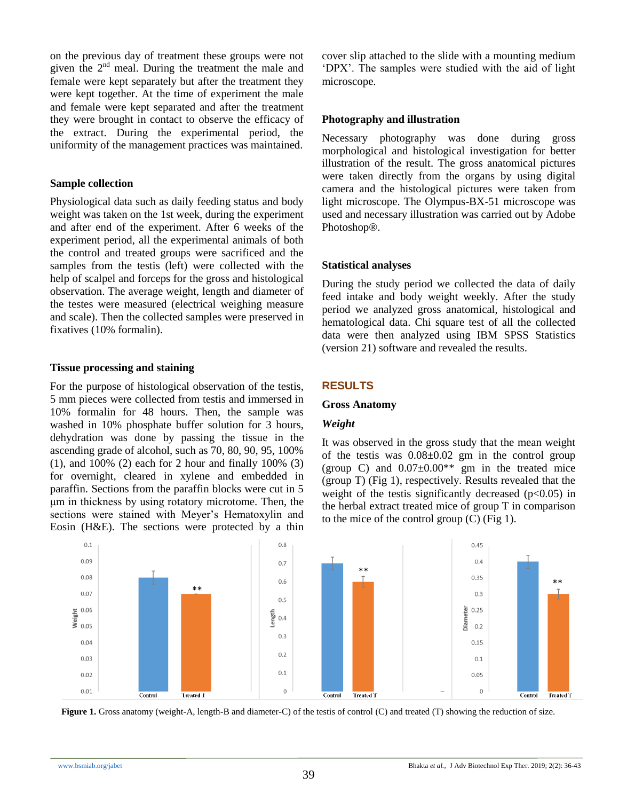on the previous day of treatment these groups were not given the 2nd meal. During the treatment the male and female were kept separately but after the treatment they were kept together. At the time of experiment the male and female were kept separated and after the treatment they were brought in contact to observe the efficacy of the extract. During the experimental period, the uniformity of the management practices was maintained.

## **Sample collection**

Physiological data such as daily feeding status and body weight was taken on the 1st week, during the experiment and after end of the experiment. After 6 weeks of the experiment period, all the experimental animals of both the control and treated groups were sacrificed and the samples from the testis (left) were collected with the help of scalpel and forceps for the gross and histological observation. The average weight, length and diameter of the testes were measured (electrical weighing measure and scale). Then the collected samples were preserved in fixatives (10% formalin).

## **Tissue processing and staining**

For the purpose of histological observation of the testis, 5 mm pieces were collected from testis and immersed in 10% formalin for 48 hours. Then, the sample was washed in 10% phosphate buffer solution for 3 hours, dehydration was done by passing the tissue in the ascending grade of alcohol, such as 70, 80, 90, 95, 100% (1), and 100% (2) each for 2 hour and finally 100% (3) for overnight, cleared in xylene and embedded in paraffin. Sections from the paraffin blocks were cut in 5 μm in thickness by using rotatory microtome. Then, the sections were stained with Meyer's Hematoxylin and Eosin (H&E). The sections were protected by a thin cover slip attached to the slide with a mounting medium "DPX". The samples were studied with the aid of light microscope.

## **Photography and illustration**

Necessary photography was done during gross morphological and histological investigation for better illustration of the result. The gross anatomical pictures were taken directly from the organs by using digital camera and the histological pictures were taken from light microscope. The Olympus-BX-51 microscope was used and necessary illustration was carried out by Adobe Photoshop®.

## **Statistical analyses**

During the study period we collected the data of daily feed intake and body weight weekly. After the study period we analyzed gross anatomical, histological and hematological data. Chi square test of all the collected data were then analyzed using IBM SPSS Statistics (version 21) software and revealed the results.

## **RESULTS**

## **Gross Anatomy**

## *Weight*

It was observed in the gross study that the mean weight of the testis was  $0.08 \pm 0.02$  gm in the control group (group C) and  $0.07\pm0.00**$  gm in the treated mice (group T) (Fig 1), respectively. Results revealed that the weight of the testis significantly decreased  $(p<0.05)$  in the herbal extract treated mice of group T in comparison to the mice of the control group (C) (Fig 1).



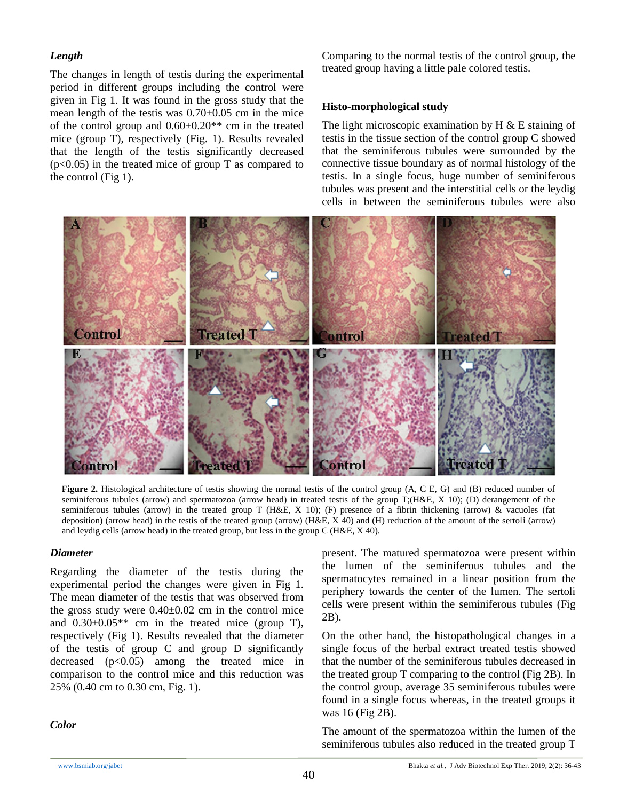#### *Length*

The changes in length of testis during the experimental period in different groups including the control were given in Fig 1. It was found in the gross study that the mean length of the testis was 0.70±0.05 cm in the mice of the control group and  $0.60\pm0.20**$  cm in the treated mice (group T), respectively (Fig. 1). Results revealed that the length of the testis significantly decreased  $(p<0.05)$  in the treated mice of group T as compared to the control (Fig 1).

Comparing to the normal testis of the control group, the treated group having a little pale colored testis.

#### **Histo-morphological study**

The light microscopic examination by  $H \& E$  staining of testis in the tissue section of the control group C showed that the seminiferous tubules were surrounded by the connective tissue boundary as of normal histology of the testis. In a single focus, huge number of seminiferous tubules was present and the interstitial cells or the leydig cells in between the seminiferous tubules were also



**Figure 2.** Histological architecture of testis showing the normal testis of the control group (A, C E, G) and (B) reduced number of seminiferous tubules (arrow) and spermatozoa (arrow head) in treated testis of the group T;(H&E, X 10); (D) derangement of the seminiferous tubules (arrow) in the treated group T (H&E, X 10); (F) presence of a fibrin thickening (arrow) & vacuoles (fat deposition) (arrow head) in the testis of the treated group (arrow) (H&E, X 40) and (H) reduction of the amount of the sertoli (arrow) and leydig cells (arrow head) in the treated group, but less in the group C (H&E, X 40).

#### *Diameter*

Regarding the diameter of the testis during the experimental period the changes were given in Fig 1. The mean diameter of the testis that was observed from the gross study were  $0.40\pm0.02$  cm in the control mice and  $0.30\pm0.05**$  cm in the treated mice (group T), respectively (Fig 1). Results revealed that the diameter of the testis of group C and group D significantly decreased  $(p<0.05)$  among the treated mice in comparison to the control mice and this reduction was 25% (0.40 cm to 0.30 cm, Fig. 1).

*Color*

present. The matured spermatozoa were present within the lumen of the seminiferous tubules and the spermatocytes remained in a linear position from the periphery towards the center of the lumen. The sertoli cells were present within the seminiferous tubules (Fig 2B).

On the other hand, the histopathological changes in a single focus of the herbal extract treated testis showed that the number of the seminiferous tubules decreased in the treated group T comparing to the control (Fig 2B). In the control group, average 35 seminiferous tubules were found in a single focus whereas, in the treated groups it was 16 (Fig 2B).

The amount of the spermatozoa within the lumen of the seminiferous tubules also reduced in the treated group T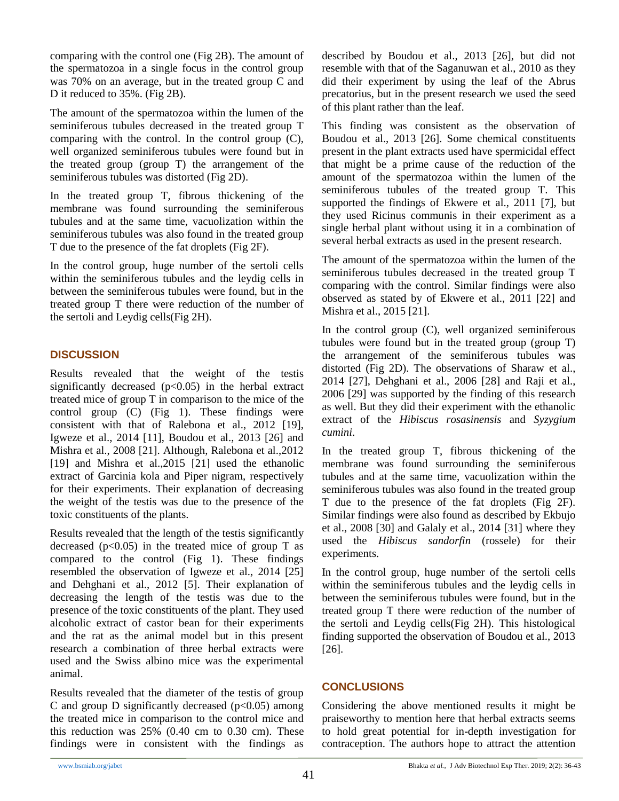comparing with the control one (Fig 2B). The amount of the spermatozoa in a single focus in the control group was 70% on an average, but in the treated group C and D it reduced to 35%. (Fig 2B).

The amount of the spermatozoa within the lumen of the seminiferous tubules decreased in the treated group T comparing with the control. In the control group (C), well organized seminiferous tubules were found but in the treated group (group T) the arrangement of the seminiferous tubules was distorted (Fig 2D).

In the treated group T, fibrous thickening of the membrane was found surrounding the seminiferous tubules and at the same time, vacuolization within the seminiferous tubules was also found in the treated group T due to the presence of the fat droplets (Fig 2F).

In the control group, huge number of the sertoli cells within the seminiferous tubules and the leydig cells in between the seminiferous tubules were found, but in the treated group T there were reduction of the number of the sertoli and Leydig cells(Fig 2H).

# **DISCUSSION**

Results revealed that the weight of the testis significantly decreased  $(p<0.05)$  in the herbal extract treated mice of group T in comparison to the mice of the control group (C) (Fig 1). These findings were consistent with that of Ralebona et al., 2012 [19], Igweze et al., 2014 [11], Boudou et al., 2013 [26] and Mishra et al., 2008 [21]. Although, Ralebona et al.,2012 [19] and Mishra et al.,2015 [21] used the ethanolic extract of Garcinia kola and Piper nigram, respectively for their experiments. Their explanation of decreasing the weight of the testis was due to the presence of the toxic constituents of the plants.

Results revealed that the length of the testis significantly decreased ( $p<0.05$ ) in the treated mice of group T as compared to the control (Fig 1). These findings resembled the observation of Igweze et al., 2014 [25] and Dehghani et al., 2012 [5]. Their explanation of decreasing the length of the testis was due to the presence of the toxic constituents of the plant. They used alcoholic extract of castor bean for their experiments and the rat as the animal model but in this present research a combination of three herbal extracts were used and the Swiss albino mice was the experimental animal.

Results revealed that the diameter of the testis of group C and group D significantly decreased ( $p<0.05$ ) among the treated mice in comparison to the control mice and this reduction was  $25\%$  (0.40 cm to 0.30 cm). These findings were in consistent with the findings as described by Boudou et al., 2013 [26], but did not resemble with that of the Saganuwan et al., 2010 as they did their experiment by using the leaf of the Abrus precatorius, but in the present research we used the seed of this plant rather than the leaf.

This finding was consistent as the observation of Boudou et al., 2013 [26]. Some chemical constituents present in the plant extracts used have spermicidal effect that might be a prime cause of the reduction of the amount of the spermatozoa within the lumen of the seminiferous tubules of the treated group T. This supported the findings of Ekwere et al., 2011 [7], but they used Ricinus communis in their experiment as a single herbal plant without using it in a combination of several herbal extracts as used in the present research.

The amount of the spermatozoa within the lumen of the seminiferous tubules decreased in the treated group T comparing with the control. Similar findings were also observed as stated by of Ekwere et al., 2011 [22] and Mishra et al., 2015 [21].

In the control group  $(C)$ , well organized seminiferous tubules were found but in the treated group (group T) the arrangement of the seminiferous tubules was distorted (Fig 2D). The observations of Sharaw et al., 2014 [27], Dehghani et al., 2006 [28] and Raji et al., 2006 [29] was supported by the finding of this research as well. But they did their experiment with the ethanolic extract of the *Hibiscus rosasinensis* and *Syzygium cumini*.

In the treated group T, fibrous thickening of the membrane was found surrounding the seminiferous tubules and at the same time, vacuolization within the seminiferous tubules was also found in the treated group T due to the presence of the fat droplets (Fig 2F). Similar findings were also found as described by Ekbujo et al., 2008 [30] and Galaly et al., 2014 [31] where they used the *Hibiscus sandorfin* (rossele) for their experiments.

In the control group, huge number of the sertoli cells within the seminiferous tubules and the leydig cells in between the seminiferous tubules were found, but in the treated group T there were reduction of the number of the sertoli and Leydig cells(Fig 2H). This histological finding supported the observation of Boudou et al., 2013 [26].

# **CONCLUSIONS**

Considering the above mentioned results it might be praiseworthy to mention here that herbal extracts seems to hold great potential for in-depth investigation for contraception. The authors hope to attract the attention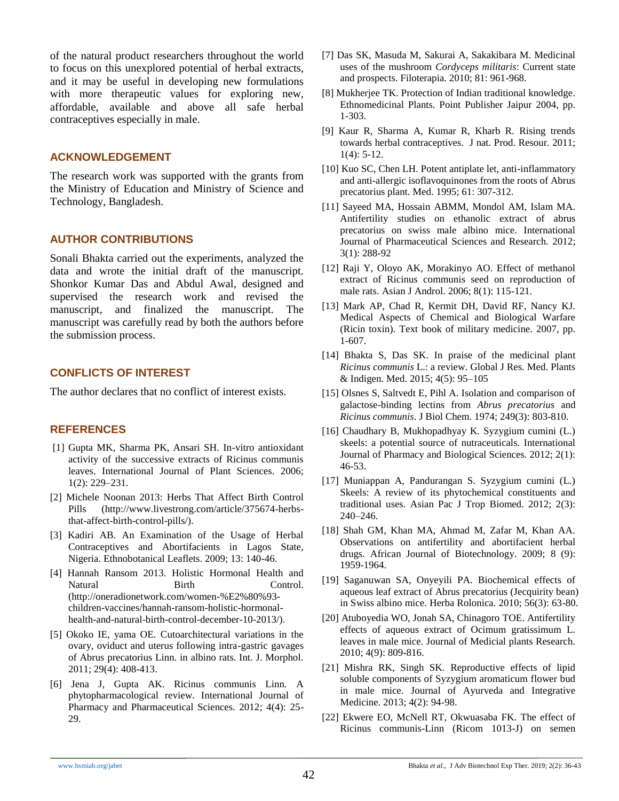of the natural product researchers throughout the world to focus on this unexplored potential of herbal extracts, and it may be useful in developing new formulations with more therapeutic values for exploring new, affordable, available and above all safe herbal contraceptives especially in male.

#### **ACKNOWLEDGEMENT**

The research work was supported with the grants from the Ministry of Education and Ministry of Science and Technology, Bangladesh.

## **AUTHOR CONTRIBUTIONS**

Sonali Bhakta carried out the experiments, analyzed the data and wrote the initial draft of the manuscript. Shonkor Kumar Das and Abdul Awal, designed and supervised the research work and revised the manuscript, and finalized the manuscript. The manuscript was carefully read by both the authors before the submission process.

## **CONFLICTS OF INTEREST**

The author declares that no conflict of interest exists.

## **REFERENCES**

- [1] Gupta MK, Sharma PK, Ansari SH. In-vitro antioxidant activity of the successive extracts of Ricinus communis leaves. International Journal of Plant Sciences. 2006; 1(2): 229–231.
- [2] Michele Noonan 2013: Herbs That Affect Birth Control Pills (http://www.livestrong.com/article/375674-herbsthat-affect-birth-control-pills/).
- [3] Kadiri AB. An Examination of the Usage of Herbal Contraceptives and Abortifacients in Lagos State, Nigeria. Ethnobotanical Leaflets. 2009; 13: 140-46.
- [4] Hannah Ransom 2013. Holistic Hormonal Health and Natural Birth Control. (http://oneradionetwork.com/women-%E2%80%93 children-vaccines/hannah-ransom-holistic-hormonalhealth-and-natural-birth-control-december-10-2013/).
- [5] Okoko IE, yama OE. Cutoarchitectural variations in the ovary, oviduct and uterus following intra-gastric gavages of Abrus precatorius Linn. in albino rats. Int. J. Morphol. 2011; 29(4): 408-413.
- [6] Jena J, Gupta AK. Ricinus communis Linn. A phytopharmacological review. International Journal of Pharmacy and Pharmaceutical Sciences. 2012; 4(4): 25- 29.
- [7] Das SK, Masuda M, Sakurai A, Sakakibara M. Medicinal uses of the mushroom *Cordyceps militaris*: Current state and prospects. Filoterapia. 2010; 81: 961-968.
- [8] Mukherjee TK. Protection of Indian traditional knowledge. Ethnomedicinal Plants. Point Publisher Jaipur 2004, pp. 1-303.
- [9] Kaur R, Sharma A, Kumar R, Kharb R. Rising trends towards herbal contraceptives. J nat. Prod. Resour. 2011; 1(4): 5-12.
- [10] Kuo SC, Chen LH. Potent antiplate let, anti-inflammatory and anti-allergic isoflavoquinones from the roots of Abrus precatorius plant. Med. 1995; 61: 307-312.
- [11] Sayeed MA, Hossain ABMM, Mondol AM, Islam MA. Antifertility studies on ethanolic extract of abrus precatorius on swiss male albino mice. International Journal of Pharmaceutical Sciences and Research. 2012; 3(1): 288-92
- [12] Raji Y, Oloyo AK, Morakinyo AO. Effect of methanol extract of Ricinus communis seed on reproduction of male rats. Asian J Androl. 2006; 8(1): 115-121.
- [13] Mark AP, Chad R, Kermit DH, David RF, Nancy KJ. Medical Aspects of Chemical and Biological Warfare (Ricin toxin). Text book of military medicine. 2007, pp. 1-607.
- [14] Bhakta S, Das SK. In praise of the medicinal plant *Ricinus communis* L.: a review. Global J Res. Med. Plants & Indigen. Med. 2015; 4(5): 95–105
- [15] Olsnes S, Saltvedt E, Pihl A. Isolation and comparison of galactose-binding lectins from *Abrus precatorius* and *Ricinus communis*. J Biol Chem. 1974; 249(3): 803-810.
- [16] Chaudhary B, Mukhopadhyay K. Syzygium cumini (L.) skeels: a potential source of nutraceuticals. International Journal of Pharmacy and Biological Sciences. 2012; 2(1): 46-53.
- [17] Muniappan A, Pandurangan S. Syzygium cumini (L.) Skeels: A review of its phytochemical constituents and traditional uses. Asian Pac J Trop Biomed. 2012; 2(3): 240–246.
- [18] Shah GM, Khan MA, Ahmad M, Zafar M, Khan AA. Observations on antifertility and abortifacient herbal drugs. African Journal of Biotechnology. 2009; 8 (9): 1959-1964.
- [19] Saganuwan SA, Onyeyili PA. Biochemical effects of aqueous leaf extract of Abrus precatorius (Jecquirity bean) in Swiss albino mice. Herba Rolonica. 2010; 56(3): 63-80.
- [20] Atuboyedia WO, Jonah SA, Chinagoro TOE. Antifertility effects of aqueous extract of Ocimum gratissimum L. leaves in male mice. Journal of Medicial plants Research. 2010; 4(9): 809-816.
- [21] Mishra RK, Singh SK. Reproductive effects of lipid soluble components of Syzygium aromaticum flower bud in male mice. Journal of Ayurveda and Integrative Medicine. 2013; 4(2): 94-98.
- [22] Ekwere EO, McNell RT, Okwuasaba FK. The effect of Ricinus communis-Linn (Ricom 1013-J) on semen